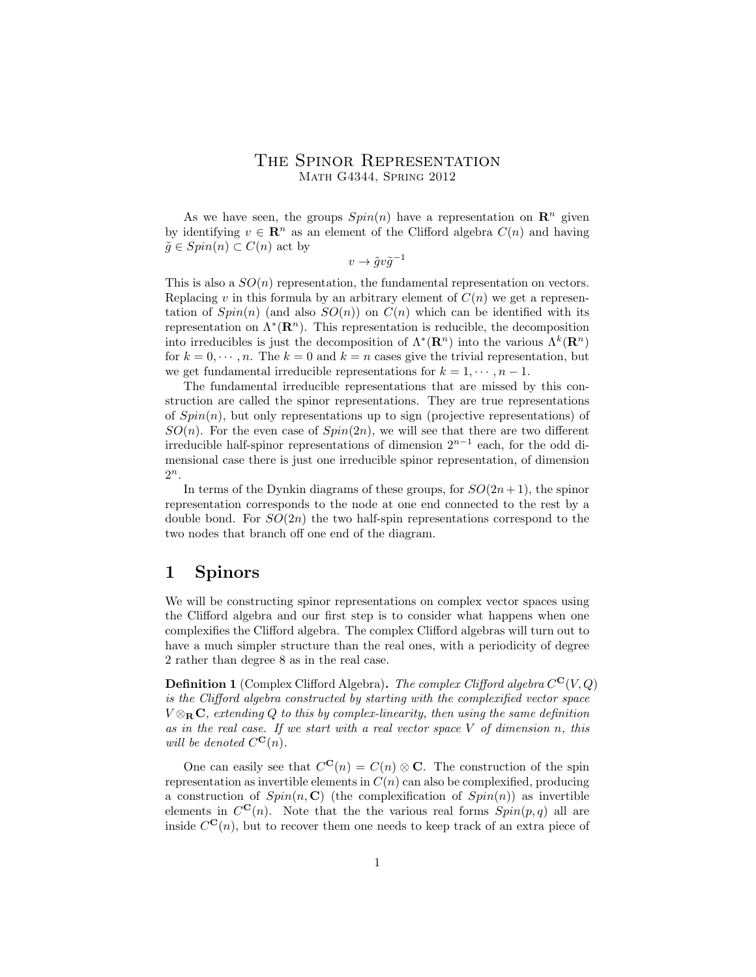### The Spinor Representation Math G4344, Spring 2012

As we have seen, the groups  $Spin(n)$  have a representation on  $\mathbb{R}^n$  given by identifying  $v \in \mathbb{R}^n$  as an element of the Clifford algebra  $C(n)$  and having  $\tilde{q} \in Spin(n) \subset C(n)$  act by

 $v \to \tilde{g}v\tilde{g}^{-1}$ 

This is also a  $SO(n)$  representation, the fundamental representation on vectors. Replacing v in this formula by an arbitrary element of  $C(n)$  we get a representation of  $Spin(n)$  (and also  $SO(n)$ ) on  $C(n)$  which can be identified with its representation on  $\Lambda^*(\mathbf{R}^n)$ . This representation is reducible, the decomposition into irreducibles is just the decomposition of  $\Lambda^*(\mathbf{R}^n)$  into the various  $\Lambda^k(\mathbf{R}^n)$ for  $k = 0, \dots, n$ . The  $k = 0$  and  $k = n$  cases give the trivial representation, but we get fundamental irreducible representations for  $k = 1, \dots, n - 1$ .

The fundamental irreducible representations that are missed by this construction are called the spinor representations. They are true representations of  $Spin(n)$ , but only representations up to sign (projective representations) of  $SO(n)$ . For the even case of  $Spin(2n)$ , we will see that there are two different irreducible half-spinor representations of dimension  $2^{n-1}$  each, for the odd dimensional case there is just one irreducible spinor representation, of dimension  $2^n$ .

In terms of the Dynkin diagrams of these groups, for  $SO(2n+1)$ , the spinor representation corresponds to the node at one end connected to the rest by a double bond. For  $SO(2n)$  the two half-spin representations correspond to the two nodes that branch off one end of the diagram.

## 1 Spinors

We will be constructing spinor representations on complex vector spaces using the Clifford algebra and our first step is to consider what happens when one complexifies the Clifford algebra. The complex Clifford algebras will turn out to have a much simpler structure than the real ones, with a periodicity of degree 2 rather than degree 8 as in the real case.

**Definition 1** (Complex Clifford Algebra). The complex Clifford algebra  $C^{\mathbf{C}}(V, Q)$ is the Clifford algebra constructed by starting with the complexified vector space  $V \otimes_{\bf R} {\bf C}$ , extending Q to this by complex-linearity, then using the same definition as in the real case. If we start with a real vector space  $V$  of dimension n, this will be denoted  $C^{\mathbf{C}}(n)$ .

One can easily see that  $C^{\mathbf{C}}(n) = C(n) \otimes \mathbf{C}$ . The construction of the spin representation as invertible elements in  $C(n)$  can also be complexified, producing a construction of  $Spin(n, \mathbb{C})$  (the complexification of  $Spin(n)$ ) as invertible elements in  $C^{C}(n)$ . Note that the the various real forms  $Spin(p,q)$  all are inside  $C^{\mathbf{C}}(n)$ , but to recover them one needs to keep track of an extra piece of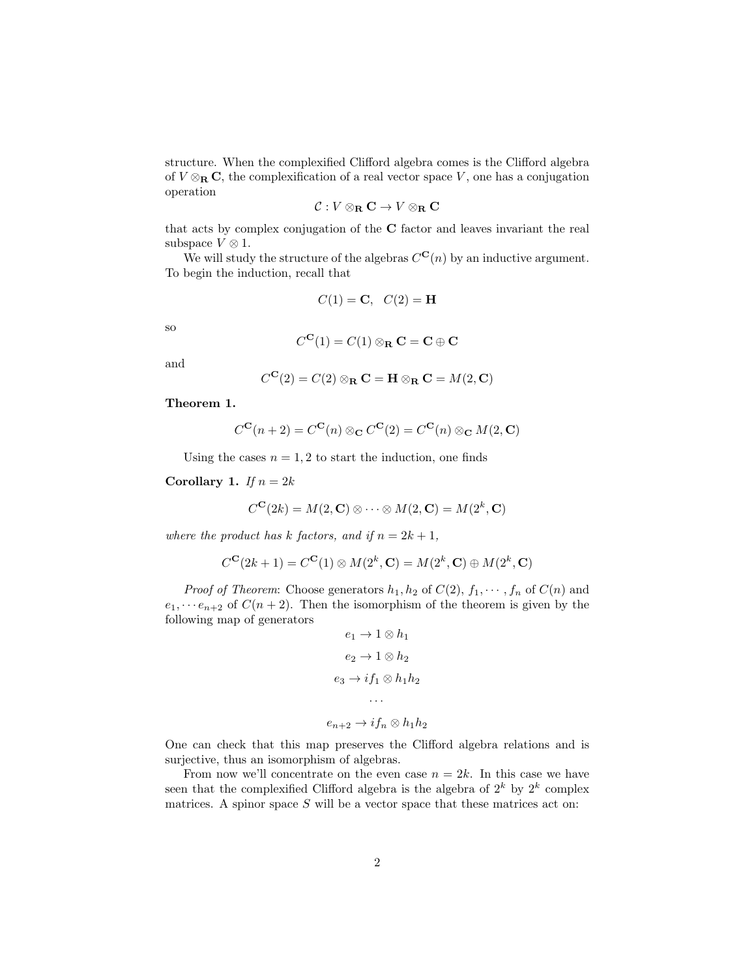structure. When the complexified Clifford algebra comes is the Clifford algebra of  $V \otimes_R \mathbf{C}$ , the complexification of a real vector space V, one has a conjugation operation

$$
\mathcal{C}: V\otimes_{\mathbf{R}}\mathbf{C}\to V\otimes_{\mathbf{R}}\mathbf{C}
$$

that acts by complex conjugation of the C factor and leaves invariant the real subspace  $V \otimes 1$ .

We will study the structure of the algebras  $C^{C}(n)$  by an inductive argument. To begin the induction, recall that

$$
C(1) = \mathbf{C}, \quad C(2) = \mathbf{H}
$$

so

$$
C^{\mathbf{C}}(1) = C(1) \otimes_{\mathbf{R}} \mathbf{C} = \mathbf{C} \oplus \mathbf{C}
$$

and

$$
C^{\mathbf{C}}(2) = C(2) \otimes_{\mathbf{R}} \mathbf{C} = \mathbf{H} \otimes_{\mathbf{R}} \mathbf{C} = M(2, \mathbf{C})
$$

Theorem 1.

$$
C^{\mathbf{C}}(n+2) = C^{\mathbf{C}}(n) \otimes_{\mathbf{C}} C^{\mathbf{C}}(2) = C^{\mathbf{C}}(n) \otimes_{\mathbf{C}} M(2, \mathbf{C})
$$

Using the cases  $n = 1, 2$  to start the induction, one finds

Corollary 1. If  $n = 2k$ 

$$
C^{\mathbf{C}}(2k) = M(2, \mathbf{C}) \otimes \cdots \otimes M(2, \mathbf{C}) = M(2^k, \mathbf{C})
$$

where the product has k factors, and if  $n = 2k + 1$ ,

$$
C^{\mathbf{C}}(2k+1) = C^{\mathbf{C}}(1) \otimes M(2^k, \mathbf{C}) = M(2^k, \mathbf{C}) \oplus M(2^k, \mathbf{C})
$$

*Proof of Theorem:* Choose generators  $h_1, h_2$  of  $C(2), f_1, \dots, f_n$  of  $C(n)$  and  $e_1, \dots e_{n+2}$  of  $C(n+2)$ . Then the isomorphism of the theorem is given by the following map of generators

$$
e_1 \to 1 \otimes h_1
$$

$$
e_2 \to 1 \otimes h_2
$$

$$
e_3 \to if_1 \otimes h_1 h_2
$$

$$
\cdots
$$

$$
e_{n+2} \to if_n \otimes h_1 h_2
$$

One can check that this map preserves the Clifford algebra relations and is surjective, thus an isomorphism of algebras.

From now we'll concentrate on the even case  $n = 2k$ . In this case we have seen that the complexified Clifford algebra is the algebra of  $2^k$  by  $2^k$  complex matrices. A spinor space  $S$  will be a vector space that these matrices act on: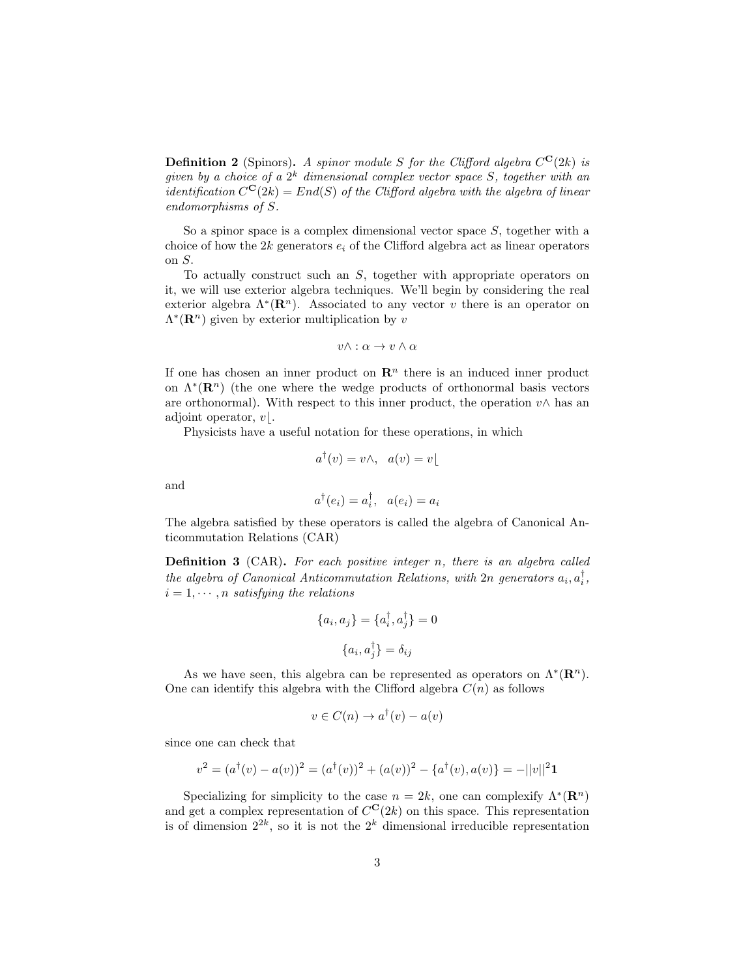**Definition 2** (Spinors). A spinor module S for the Clifford algebra  $C^{\mathbf{C}}(2k)$  is given by a choice of a  $2^k$  dimensional complex vector space S, together with an *identification*  $C^{C}(2k) = End(S)$  of the Clifford algebra with the algebra of linear endomorphisms of S.

So a spinor space is a complex dimensional vector space  $S$ , together with a choice of how the  $2k$  generators  $e_i$  of the Clifford algebra act as linear operators on S.

To actually construct such an  $S$ , together with appropriate operators on it, we will use exterior algebra techniques. We'll begin by considering the real exterior algebra  $\Lambda^*(\mathbf{R}^n)$ . Associated to any vector v there is an operator on  $\Lambda^*(\mathbf{R}^n)$  given by exterior multiplication by v

$$
v\wedge:\alpha\to v\wedge\alpha
$$

If one has chosen an inner product on  $\mathbb{R}^n$  there is an induced inner product on  $\Lambda^*(\mathbf{R}^n)$  (the one where the wedge products of orthonormal basis vectors are orthonormal). With respect to this inner product, the operation  $v \wedge$  has an adjoint operator,  $v$ .

Physicists have a useful notation for these operations, in which

$$
a^{\dagger}(v) = v \wedge, \ a(v) = v
$$

and

$$
a^{\dagger}(e_i) = a_i^{\dagger}, \ \ a(e_i) = a_i
$$

The algebra satisfied by these operators is called the algebra of Canonical Anticommutation Relations (CAR)

**Definition 3** (CAR). For each positive integer n, there is an algebra called the algebra of Canonical Anticommutation Relations, with  $2n$  generators  $a_i, a_i^{\dagger}$ ,  $i = 1, \dots, n$  satisfying the relations

$$
\{a_i, a_j\} = \{a_i^{\dagger}, a_j^{\dagger}\} = 0
$$

$$
\{a_i, a_j^{\dagger}\} = \delta_{ij}
$$

As we have seen, this algebra can be represented as operators on  $\Lambda^*(\mathbf{R}^n)$ . One can identify this algebra with the Clifford algebra  $C(n)$  as follows

$$
v \in C(n) \to a^{\dagger}(v) - a(v)
$$

since one can check that

$$
v^{2} = (a^{\dagger}(v) - a(v))^{2} = (a^{\dagger}(v))^{2} + (a(v))^{2} - \{a^{\dagger}(v), a(v)\} = -||v||^{2}\mathbf{1}
$$

Specializing for simplicity to the case  $n = 2k$ , one can complexify  $\Lambda^*(\mathbb{R}^n)$ and get a complex representation of  $C^{C}(2k)$  on this space. This representation is of dimension  $2^{2k}$ , so it is not the  $2^k$  dimensional irreducible representation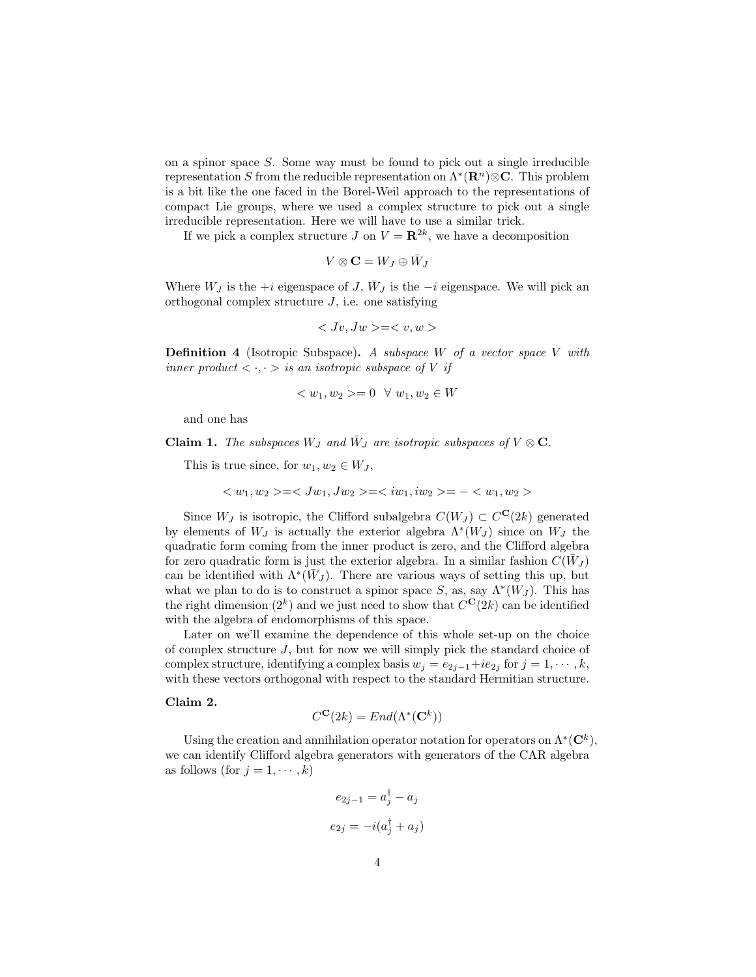on a spinor space  $S$ . Some way must be found to pick out a single irreducible representation S from the reducible representation on  $\Lambda^*(\mathbf{R}^n) \otimes \mathbf{C}$ . This problem is a bit like the one faced in the Borel-Weil approach to the representations of compact Lie groups, where we used a complex structure to pick out a single irreducible representation. Here we will have to use a similar trick.

If we pick a complex structure J on  $V = \mathbb{R}^{2k}$ , we have a decomposition

$$
V\otimes\mathbf{C}=W_J\oplus\bar{W}_J
$$

Where  $W_J$  is the +i eigenspace of  $J, \bar{W}_J$  is the  $-i$  eigenspace. We will pick an orthogonal complex structure  $J$ , i.e. one satisfying

$$
\langle Jv, Jw \rangle = \langle v, w \rangle
$$

**Definition 4** (Isotropic Subspace). A subspace W of a vector space V with inner product  $\langle \cdot, \cdot \rangle$  is an isotropic subspace of V if

$$
=0~~\forall~w_1, w_2 \in W
$$

and one has

**Claim 1.** The subspaces  $W_J$  and  $\bar{W}_J$  are isotropic subspaces of  $V \otimes \mathbf{C}$ .

This is true since, for  $w_1, w_2 \in W_J$ ,

$$
===-
$$

Since  $W_J$  is isotropic, the Clifford subalgebra  $C(W_J) \subset C^{\mathbf{C}}(2k)$  generated by elements of  $W_J$  is actually the exterior algebra  $\Lambda^*(W_J)$  since on  $W_J$  the quadratic form coming from the inner product is zero, and the Clifford algebra for zero quadratic form is just the exterior algebra. In a similar fashion  $\tilde{C}(W_J)$ can be identified with  $\Lambda^*(\bar{W}_J)$ . There are various ways of setting this up, but what we plan to do is to construct a spinor space S, as, say  $\Lambda^*(W_J)$ . This has the right dimension  $(2^k)$  and we just need to show that  $C^{\mathbf{C}}(2k)$  can be identified with the algebra of endomorphisms of this space.

Later on we'll examine the dependence of this whole set-up on the choice of complex structure J, but for now we will simply pick the standard choice of complex structure, identifying a complex basis  $w_j = e_{2j-1} + ie_{2j}$  for  $j = 1, \dots, k$ , with these vectors orthogonal with respect to the standard Hermitian structure.

#### Claim 2.

$$
C^{\mathbf{C}}(2k) = End(\Lambda^*(\mathbf{C}^k))
$$

Using the creation and annihilation operator notation for operators on  $\Lambda^*(\mathbb{C}^k)$ , we can identify Clifford algebra generators with generators of the CAR algebra as follows (for  $j = 1, \dots, k$ )

$$
e_{2j-1} = a_j^{\dagger} - a_j
$$

$$
e_{2j} = -i(a_j^{\dagger} + a_j)
$$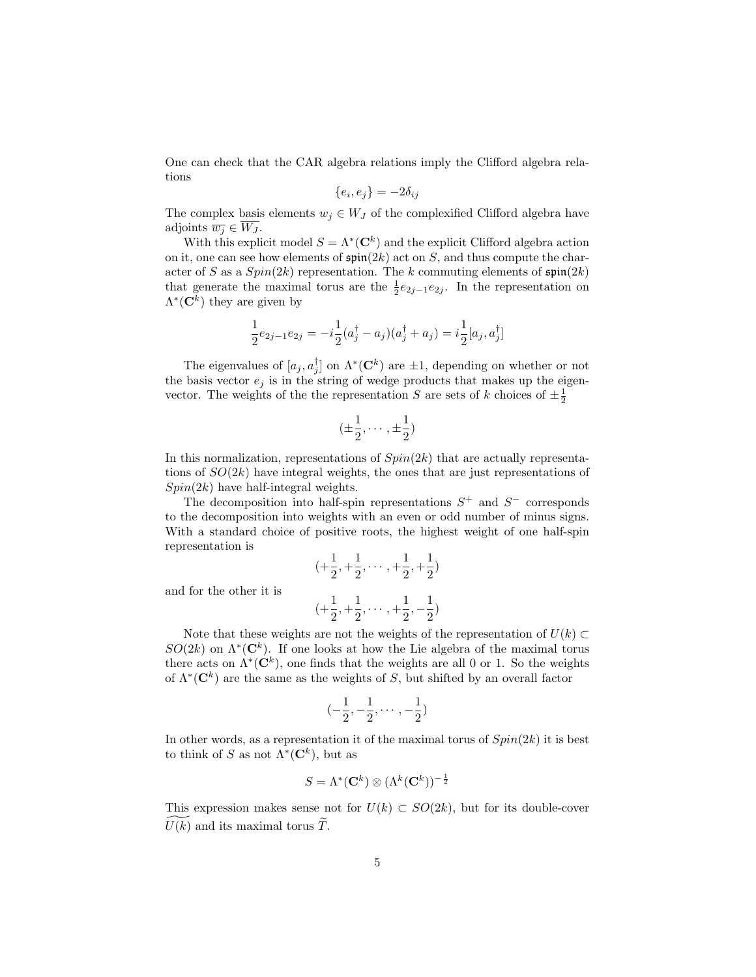One can check that the CAR algebra relations imply the Clifford algebra relations

$$
\{e_i, e_j\} = -2\delta_{ij}
$$

The complex basis elements  $w_j \in W_J$  of the complexified Clifford algebra have adjoints  $\overline{w_i} \in W_J$ .

With this explicit model  $S = \Lambda^*(\mathbb{C}^k)$  and the explicit Clifford algebra action on it, one can see how elements of  $\mathfrak{spin}(2k)$  act on S, and thus compute the character of S as a  $Spin(2k)$  representation. The k commuting elements of  $\mathfrak{spin}(2k)$ that generate the maximal torus are the  $\frac{1}{2}e_{2j-1}e_{2j}$ . In the representation on  $\Lambda^*(\mathbf{C}^k)$  they are given by

$$
\frac{1}{2}e_{2j-1}e_{2j} = -i\frac{1}{2}(a_j^{\dagger} - a_j)(a_j^{\dagger} + a_j) = i\frac{1}{2}[a_j, a_j^{\dagger}]
$$

The eigenvalues of  $[a_j, a_j^{\dagger}]$  on  $\Lambda^*(\mathbb{C}^k)$  are  $\pm 1$ , depending on whether or not the basis vector  $e_j$  is in the string of wedge products that makes up the eigenvector. The weights of the the representation S are sets of k choices of  $\pm \frac{1}{2}$ 

$$
(\pm \frac{1}{2}, \cdots, \pm \frac{1}{2})
$$

In this normalization, representations of  $Spin(2k)$  that are actually representations of  $SO(2k)$  have integral weights, the ones that are just representations of  $Spin(2k)$  have half-integral weights.

The decomposition into half-spin representations  $S^+$  and  $S^-$  corresponds to the decomposition into weights with an even or odd number of minus signs. With a standard choice of positive roots, the highest weight of one half-spin representation is

$$
(+\frac{1}{2}, +\frac{1}{2}, \cdots, +\frac{1}{2}, +\frac{1}{2})
$$
  

$$
(+\frac{1}{2}, +\frac{1}{2}, \cdots, +\frac{1}{2}, -\frac{1}{2})
$$

and for the other it is

Note that these weights are not the weights of the representation of  $U(k) \subset$  $SO(2k)$  on  $\Lambda^*(\mathbb{C}^k)$ . If one looks at how the Lie algebra of the maximal torus there acts on  $\Lambda^*(\mathbf{C}^k)$ , one finds that the weights are all 0 or 1. So the weights of  $\Lambda^*(\mathbb{C}^k)$  are the same as the weights of S, but shifted by an overall factor

$$
(-\frac{1}{2},-\frac{1}{2},\cdots,-\frac{1}{2})
$$

In other words, as a representation it of the maximal torus of  $Spin(2k)$  it is best to think of S as not  $\Lambda^*(\mathbf{C}^k)$ , but as

$$
S = \Lambda^*(\mathbf{C}^k) \otimes (\Lambda^k(\mathbf{C}^k))^{-\frac{1}{2}}
$$

This expression makes sense not for  $U(k) \subset SO(2k)$ , but for its double-cover  $U(k)$  and its maximal torus  $\tilde{T}$ .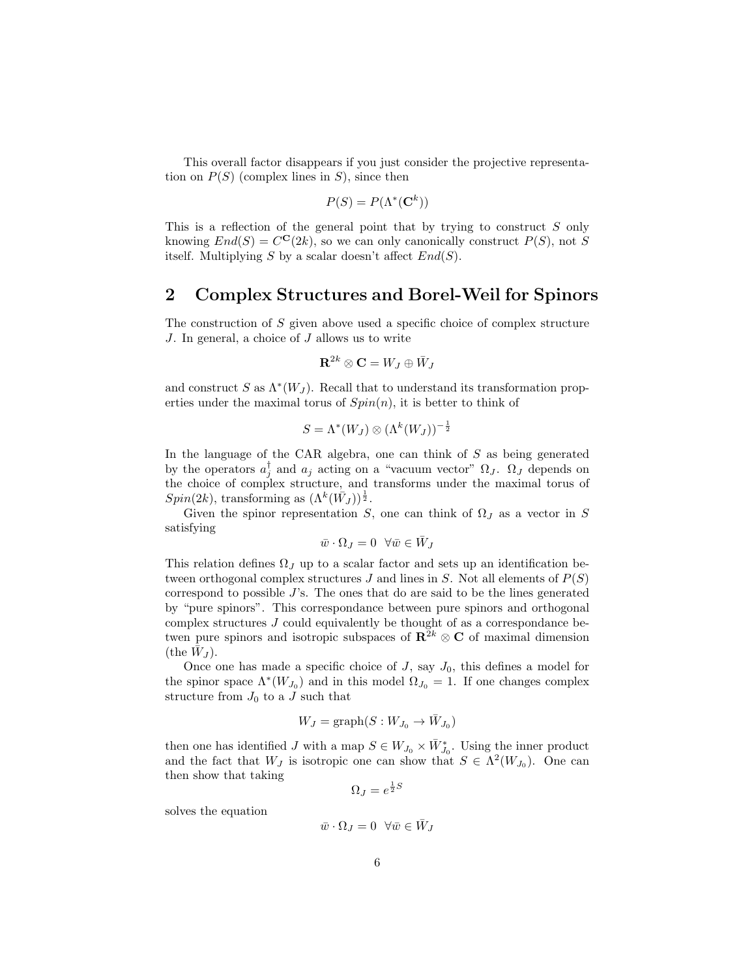This overall factor disappears if you just consider the projective representation on  $P(S)$  (complex lines in S), since then

$$
P(S) = P(\Lambda^*(\mathbf{C}^k))
$$

This is a reflection of the general point that by trying to construct S only knowing  $End(S) = C^{\mathbf{C}}(2k)$ , so we can only canonically construct  $P(S)$ , not S itself. Multiplying S by a scalar doesn't affect  $End(S)$ .

## 2 Complex Structures and Borel-Weil for Spinors

The construction of S given above used a specific choice of complex structure J. In general, a choice of J allows us to write

$$
{\bf R}^{2k}\otimes {\bf C}=W_J\oplus \bar W_J
$$

and construct S as  $\Lambda^*(W_J)$ . Recall that to understand its transformation properties under the maximal torus of  $Spin(n)$ , it is better to think of

$$
S = \Lambda^*(W_J) \otimes (\Lambda^k(W_J))^{-\frac{1}{2}}
$$

In the language of the CAR algebra, one can think of  $S$  as being generated by the operators  $a_j^{\dagger}$  and  $a_j$  acting on a "vacuum vector"  $\Omega_J$ .  $\Omega_J$  depends on the choice of complex structure, and transforms under the maximal torus of  $Spin(2k)$ , transforming as  $(\Lambda^k(\bar{W}_J))^{\frac{1}{2}}$ .

Given the spinor representation S, one can think of  $\Omega_J$  as a vector in S satisfying

$$
\bar{w} \cdot \Omega_J = 0 \quad \forall \bar{w} \in \bar{W}_J
$$

This relation defines  $\Omega_J$  up to a scalar factor and sets up an identification between orthogonal complex structures J and lines in S. Not all elements of  $P(S)$ correspond to possible  $J$ 's. The ones that do are said to be the lines generated by "pure spinors". This correspondance between pure spinors and orthogonal complex structures J could equivalently be thought of as a correspondance betwen pure spinors and isotropic subspaces of  $\mathbb{R}^{2k} \otimes \mathbb{C}$  of maximal dimension (the  $\bar{W}_J$ ).

Once one has made a specific choice of  $J$ , say  $J_0$ , this defines a model for the spinor space  $\Lambda^*(W_{J_0})$  and in this model  $\Omega_{J_0} = 1$ . If one changes complex structure from  $J_0$  to a J such that

$$
W_J = \mathrm{graph}(S: W_{J_0} \to \bar{W}_{J_0})
$$

then one has identified J with a map  $S \in W_{J_0} \times \bar{W}_{J_0}^*$ . Using the inner product and the fact that  $W_J$  is isotropic one can show that  $S \in \Lambda^2(W_{J_0})$ . One can then show that taking

$$
\Omega_J = e^{\frac{1}{2}S}
$$

solves the equation

$$
\bar{w}\cdot\Omega_J=0\;\;\forall \bar{w}\in \bar{W}_J
$$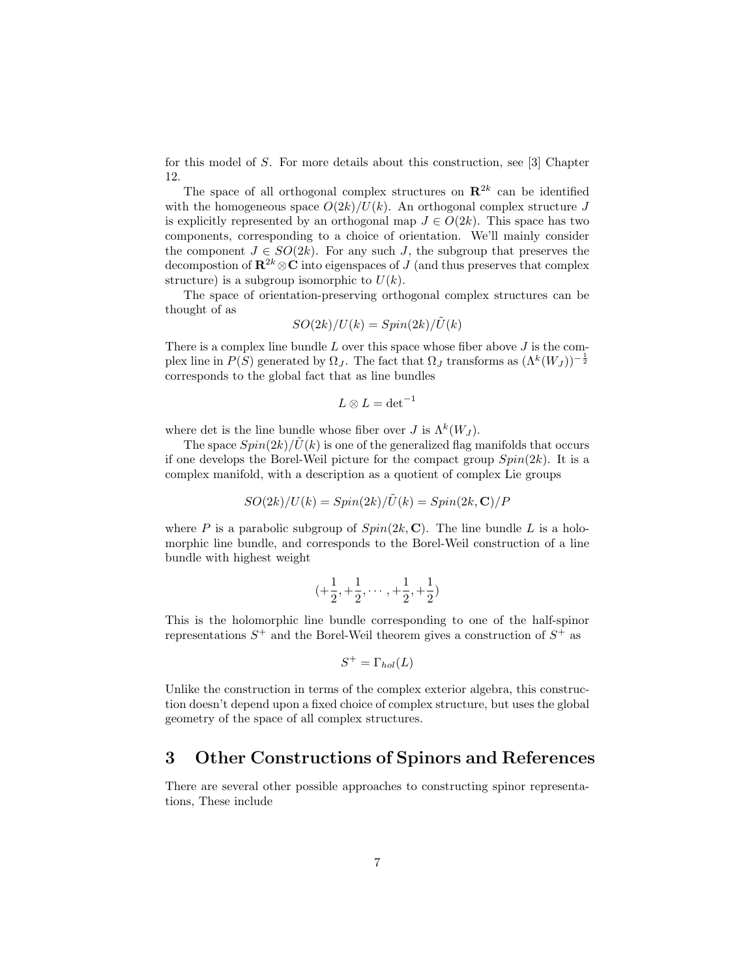for this model of S. For more details about this construction, see [3] Chapter 12.

The space of all orthogonal complex structures on  $\mathbb{R}^{2k}$  can be identified with the homogeneous space  $O(2k)/U(k)$ . An orthogonal complex structure J is explicitly represented by an orthogonal map  $J \in O(2k)$ . This space has two components, corresponding to a choice of orientation. We'll mainly consider the component  $J \in SO(2k)$ . For any such J, the subgroup that preserves the decompostion of  $\mathbb{R}^{2k} \otimes \mathbb{C}$  into eigenspaces of J (and thus preserves that complex structure) is a subgroup isomorphic to  $U(k)$ .

The space of orientation-preserving orthogonal complex structures can be thought of as

$$
SO(2k)/U(k) = Spin(2k)/\tilde{U}(k)
$$

There is a complex line bundle  $L$  over this space whose fiber above  $J$  is the complex line in  $P(S)$  generated by  $\Omega_J$ . The fact that  $\Omega_J$  transforms as  $(\Lambda^k(W_J))^{-\frac{1}{2}}$ corresponds to the global fact that as line bundles

$$
L\otimes L=\det^{-1}
$$

where det is the line bundle whose fiber over  $J$  is  $\Lambda^k(W_J)$ .

The space  $Spin(2k)/\tilde{U}(k)$  is one of the generalized flag manifolds that occurs if one develops the Borel-Weil picture for the compact group  $Spin(2k)$ . It is a complex manifold, with a description as a quotient of complex Lie groups

$$
SO(2k)/U(k) = Spin(2k)/\widetilde{U}(k) = Spin(2k,\mathbf{C})/P
$$

where P is a parabolic subgroup of  $Spin(2k, \mathbb{C})$ . The line bundle L is a holomorphic line bundle, and corresponds to the Borel-Weil construction of a line bundle with highest weight

$$
(+\frac{1}{2},+\frac{1}{2},\cdots,+\frac{1}{2},+\frac{1}{2})
$$

This is the holomorphic line bundle corresponding to one of the half-spinor representations  $S^+$  and the Borel-Weil theorem gives a construction of  $S^+$  as

$$
S^+ = \Gamma_{hol}(L)
$$

Unlike the construction in terms of the complex exterior algebra, this construction doesn't depend upon a fixed choice of complex structure, but uses the global geometry of the space of all complex structures.

## 3 Other Constructions of Spinors and References

There are several other possible approaches to constructing spinor representations, These include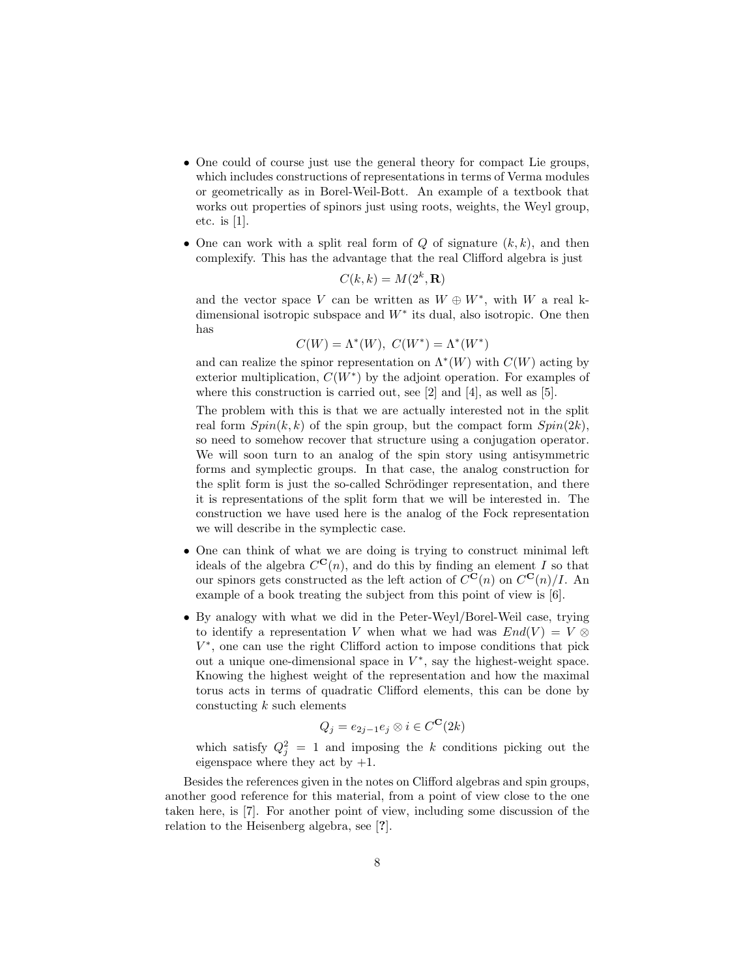- One could of course just use the general theory for compact Lie groups, which includes constructions of representations in terms of Verma modules or geometrically as in Borel-Weil-Bott. An example of a textbook that works out properties of spinors just using roots, weights, the Weyl group, etc. is [1].
- One can work with a split real form of  $Q$  of signature  $(k, k)$ , and then complexify. This has the advantage that the real Clifford algebra is just

$$
C(k,k) = M(2^k, \mathbf{R})
$$

and the vector space V can be written as  $W \oplus W^*$ , with W a real kdimensional isotropic subspace and  $W^*$  its dual, also isotropic. One then has

$$
C(W) = \Lambda^*(W), \ C(W^*) = \Lambda^*(W^*)
$$

and can realize the spinor representation on  $\Lambda^*(W)$  with  $C(W)$  acting by exterior multiplication,  $C(W^*)$  by the adjoint operation. For examples of where this construction is carried out, see [2] and [4], as well as [5].

The problem with this is that we are actually interested not in the split real form  $Spin(k, k)$  of the spin group, but the compact form  $Spin(2k)$ , so need to somehow recover that structure using a conjugation operator. We will soon turn to an analog of the spin story using antisymmetric forms and symplectic groups. In that case, the analog construction for the split form is just the so-called Schrödinger representation, and there it is representations of the split form that we will be interested in. The construction we have used here is the analog of the Fock representation we will describe in the symplectic case.

- One can think of what we are doing is trying to construct minimal left ideals of the algebra  $C^{C}(n)$ , and do this by finding an element I so that our spinors gets constructed as the left action of  $C^{C}(n)$  on  $C^{C}(n)/I$ . An example of a book treating the subject from this point of view is [6].
- By analogy with what we did in the Peter-Weyl/Borel-Weil case, trying to identify a representation V when what we had was  $End(V) = V \otimes$ V ∗ , one can use the right Clifford action to impose conditions that pick out a unique one-dimensional space in  $V^*$ , say the highest-weight space. Knowing the highest weight of the representation and how the maximal torus acts in terms of quadratic Clifford elements, this can be done by constucting  $k$  such elements

$$
Q_j = e_{2j-1}e_j \otimes i \in C^{\mathbf{C}}(2k)
$$

which satisfy  $Q_j^2 = 1$  and imposing the k conditions picking out the eigenspace where they act by  $+1$ .

Besides the references given in the notes on Clifford algebras and spin groups, another good reference for this material, from a point of view close to the one taken here, is [7]. For another point of view, including some discussion of the relation to the Heisenberg algebra, see [?].